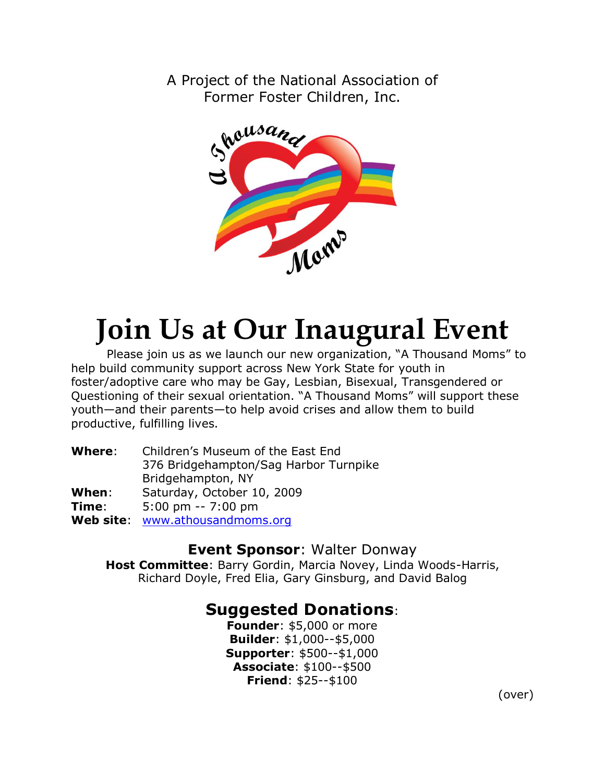A Project of the National Association of Former Foster Children, Inc.



# **Join Us at Our Inaugural Event**

Please join us as we launch our new organization, "A Thousand Moms" to help build community support across New York State for youth in foster/adoptive care who may be Gay, Lesbian, Bisexual, Transgendered or Questioning of their sexual orientation. "A Thousand Moms" will support these youth—and their parents—to help avoid crises and allow them to build productive, fulfilling lives.

| Where:    | Children's Museum of the East End     |
|-----------|---------------------------------------|
|           | 376 Bridgehampton/Sag Harbor Turnpike |
|           | Bridgehampton, NY                     |
| When:     | Saturday, October 10, 2009            |
| Time:     | $5:00 \text{ pm} - 7:00 \text{ pm}$   |
| Web site: | www.athousandmoms.org                 |

### **Event Sponsor**: Walter Donway

**Host Committee**: Barry Gordin, Marcia Novey, Linda Woods-Harris, Richard Doyle, Fred Elia, Gary Ginsburg, and David Balog

## **Suggested Donations**:

**Founder**: \$5,000 or more **Builder**: \$1,000--\$5,000 **Supporter**: \$500--\$1,000 **Associate**: \$100--\$500 **Friend**: \$25--\$100

(over)